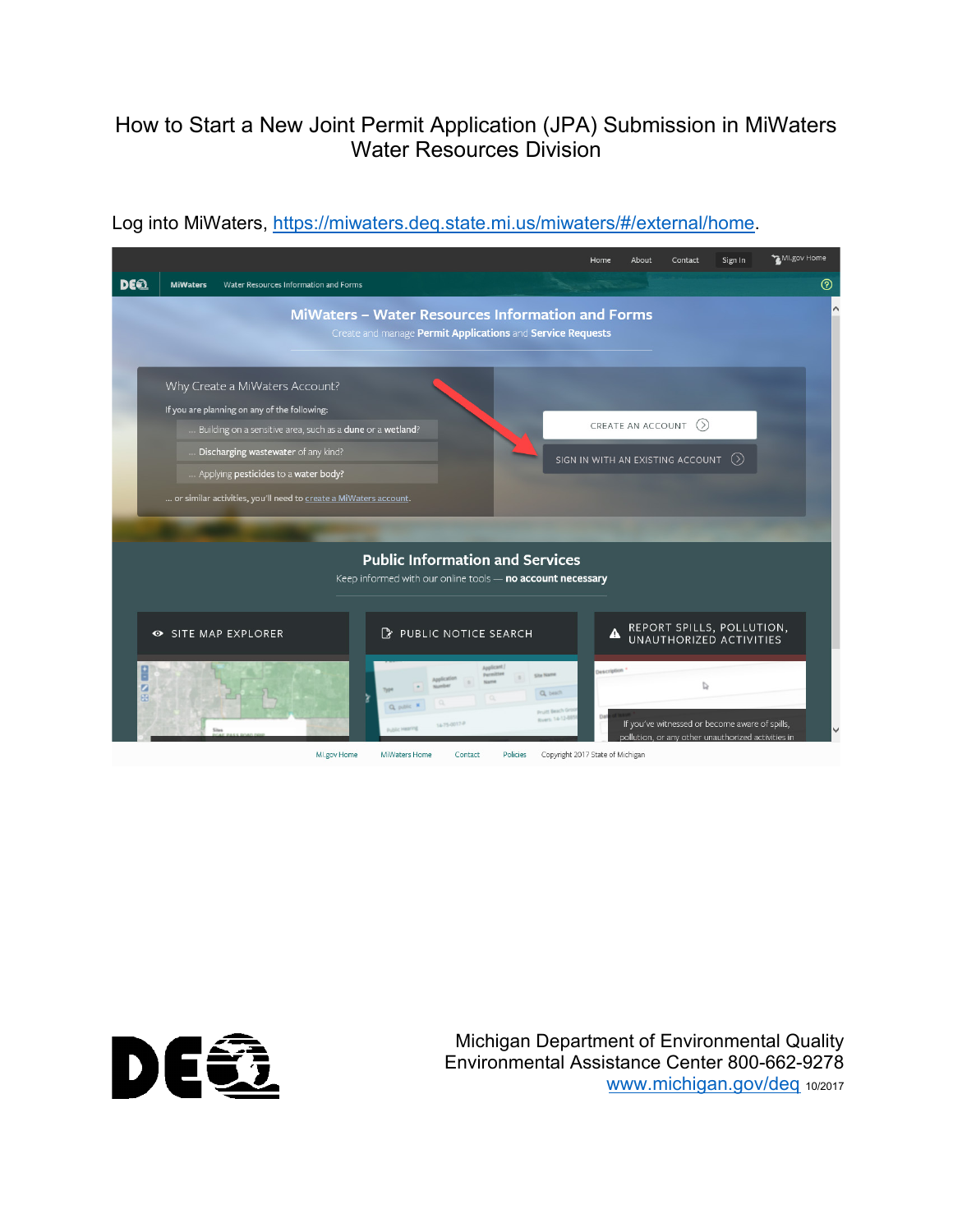## How to Start a New Joint Permit Application (JPA) Submission in MiWaters Water Resources Division



## Log into MiWaters, [https://miwaters.deq.state.mi.us/miwaters/#/external/home.](https://miwaters.deq.state.mi.us/miwaters/#/external/home)



Michigan Department of Environmental Quality Environmental Assistance Center 800-662-9278 [www.michigan.gov/deq](http://www.michigan.gov/deq) 10/2017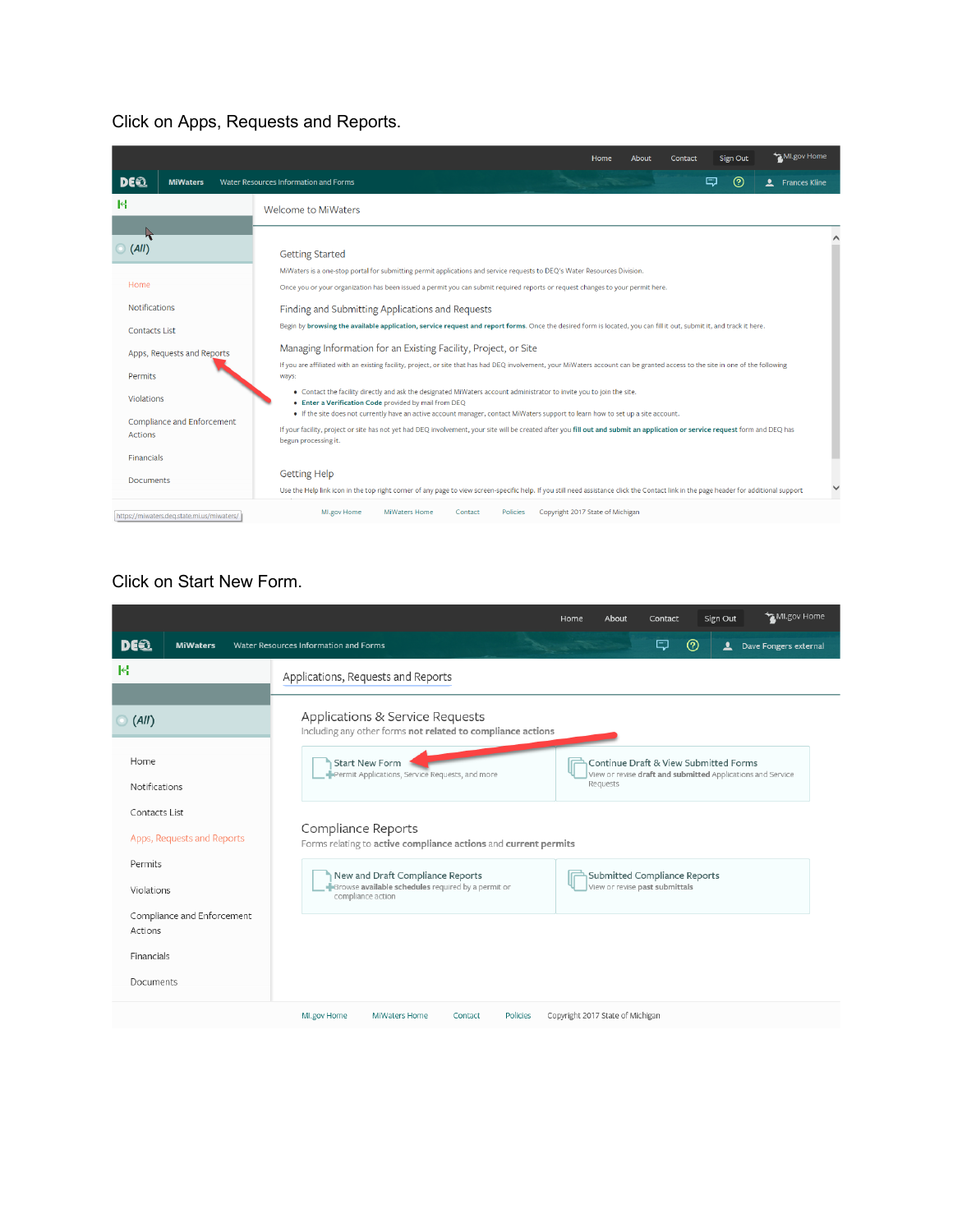## Click on Apps, Requests and Reports.

|                                            | MI.gov Home<br>Sign Out<br>Home<br>About<br>Contact                                                                                                                                                                                                                                                                                                                                                                                           |  |  |  |  |  |  |
|--------------------------------------------|-----------------------------------------------------------------------------------------------------------------------------------------------------------------------------------------------------------------------------------------------------------------------------------------------------------------------------------------------------------------------------------------------------------------------------------------------|--|--|--|--|--|--|
| DE 2<br><b>MiWaters</b>                    | $^{\circledR}$<br>ل⊒<br>Water Resources Information and Forms<br>$\mathbf{r}$<br><b>Frances Kline</b>                                                                                                                                                                                                                                                                                                                                         |  |  |  |  |  |  |
| М                                          | <b>Welcome to MiWaters</b>                                                                                                                                                                                                                                                                                                                                                                                                                    |  |  |  |  |  |  |
|                                            |                                                                                                                                                                                                                                                                                                                                                                                                                                               |  |  |  |  |  |  |
| (AII)                                      | <b>Getting Started</b>                                                                                                                                                                                                                                                                                                                                                                                                                        |  |  |  |  |  |  |
|                                            | MiWaters is a one-stop portal for submitting permit applications and service requests to DEQ's Water Resources Division.                                                                                                                                                                                                                                                                                                                      |  |  |  |  |  |  |
| Home                                       | Once you or your organization has been issued a permit you can submit required reports or request changes to your permit here.                                                                                                                                                                                                                                                                                                                |  |  |  |  |  |  |
| <b>Notifications</b>                       | Finding and Submitting Applications and Requests                                                                                                                                                                                                                                                                                                                                                                                              |  |  |  |  |  |  |
| <b>Contacts List</b>                       | Begin by browsing the available application, service request and report forms. Once the desired form is located, you can fill it out, submit it, and track it here.                                                                                                                                                                                                                                                                           |  |  |  |  |  |  |
| Apps, Requests and Reports                 | Managing Information for an Existing Facility, Project, or Site<br>If you are affiliated with an existing facility, project, or site that has had DEQ involvement, your MiWaters account can be granted access to the site in one of the following<br>ways:<br>. Contact the facility directly and ask the designated MiWaters account administrator to invite you to join the site.<br>. Enter a Verification Code provided by mail from DEQ |  |  |  |  |  |  |
| Permits                                    |                                                                                                                                                                                                                                                                                                                                                                                                                                               |  |  |  |  |  |  |
| Violations                                 |                                                                                                                                                                                                                                                                                                                                                                                                                                               |  |  |  |  |  |  |
| Compliance and Enforcement                 | • If the site does not currently have an active account manager, contact MiWaters support to learn how to set up a site account.                                                                                                                                                                                                                                                                                                              |  |  |  |  |  |  |
| <b>Actions</b>                             | If your facility, project or site has not yet had DEQ involvement, your site will be created after you fill out and submit an application or service request form and DEQ has<br>begun processing it.                                                                                                                                                                                                                                         |  |  |  |  |  |  |
| <b>Financials</b>                          |                                                                                                                                                                                                                                                                                                                                                                                                                                               |  |  |  |  |  |  |
| <b>Documents</b>                           | <b>Getting Help</b>                                                                                                                                                                                                                                                                                                                                                                                                                           |  |  |  |  |  |  |
|                                            | Use the Help link icon in the top right corner of any page to view screen-specific help. If you still need assistance click the Contact link in the page header for additional support                                                                                                                                                                                                                                                        |  |  |  |  |  |  |
| https://miwaters.deq.state.mi.us/miwaters/ | MI.gov Home<br><b>MiWaters Home</b><br>Copyright 2017 State of Michigan<br>Contact<br><b>Policies</b>                                                                                                                                                                                                                                                                                                                                         |  |  |  |  |  |  |
|                                            |                                                                                                                                                                                                                                                                                                                                                                                                                                               |  |  |  |  |  |  |

## Click on Start New Form.

|                                       | MI.gov Home<br>Sign Out<br>Home<br>About<br>Contact                                                                                                                       |  |  |  |  |  |  |
|---------------------------------------|---------------------------------------------------------------------------------------------------------------------------------------------------------------------------|--|--|--|--|--|--|
| <b>DEE</b><br><b>MiWaters</b>         | $^{\circledR}$<br>Q<br>Water Resources Information and Forms<br>$\overline{\mathbf{r}}$<br>Dave Fongers external                                                          |  |  |  |  |  |  |
| K                                     | Applications, Requests and Reports                                                                                                                                        |  |  |  |  |  |  |
| $\odot$ (All)                         | Applications & Service Requests                                                                                                                                           |  |  |  |  |  |  |
|                                       | Including any other forms not related to compliance actions                                                                                                               |  |  |  |  |  |  |
| Home                                  | Continue Draft & View Submitted Forms<br>Start New Form<br>Permit Applications, Service Requests, and more<br>View or revise draft and submitted Applications and Service |  |  |  |  |  |  |
| Notifications                         | Requests                                                                                                                                                                  |  |  |  |  |  |  |
| Contacts List                         |                                                                                                                                                                           |  |  |  |  |  |  |
| Apps, Requests and Reports            | Compliance Reports<br>Forms relating to active compliance actions and current permits<br>New and Draft Compliance Reports<br>Submitted Compliance Reports                 |  |  |  |  |  |  |
| Permits                               |                                                                                                                                                                           |  |  |  |  |  |  |
| Violations                            | Browse available schedules required by a permit or<br>View or revise past submittals<br>compliance action                                                                 |  |  |  |  |  |  |
| Compliance and Enforcement<br>Actions |                                                                                                                                                                           |  |  |  |  |  |  |
| Financials                            |                                                                                                                                                                           |  |  |  |  |  |  |
| Documents                             |                                                                                                                                                                           |  |  |  |  |  |  |
|                                       |                                                                                                                                                                           |  |  |  |  |  |  |
|                                       | Copyright 2017 State of Michigan<br>Policies<br>MI.gov Home<br>MiWaters Home<br>Contact                                                                                   |  |  |  |  |  |  |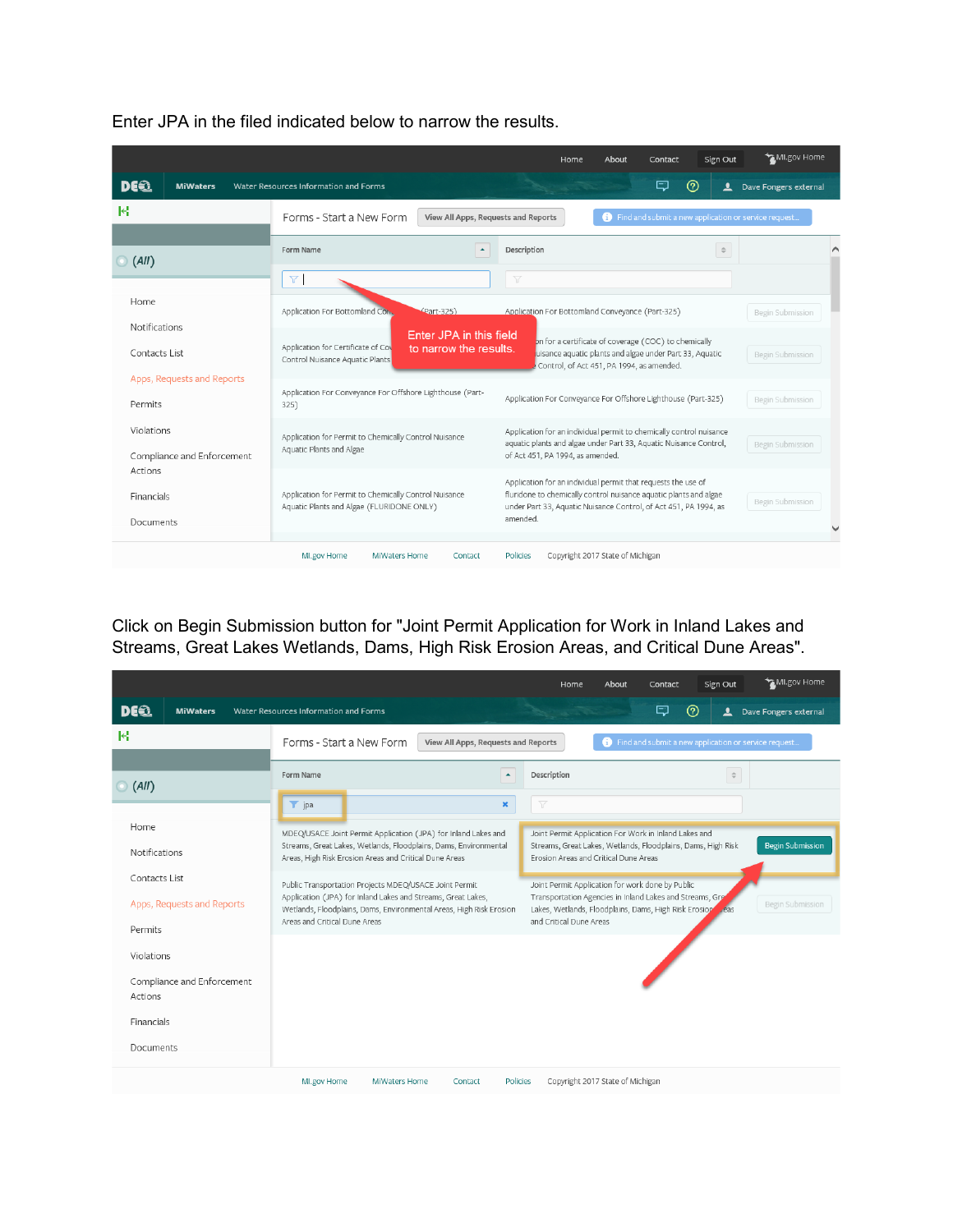|                                          |                                                                                                                            | About<br>Sign Out<br>Home<br>Contact                                                                                                                                                                               | MI.gov Home           |
|------------------------------------------|----------------------------------------------------------------------------------------------------------------------------|--------------------------------------------------------------------------------------------------------------------------------------------------------------------------------------------------------------------|-----------------------|
| DE62<br><b>MiWaters</b>                  | Water Resources Information and Forms                                                                                      | (?)<br>□<br>ఽ                                                                                                                                                                                                      | Dave Fongers external |
| М                                        | Forms - Start a New Form<br>View All Apps, Requests and Reports                                                            | Find and submit a new application or service request                                                                                                                                                               |                       |
| $\bigcirc$ (All)                         | Form Name<br>$\blacktriangle$                                                                                              | Description<br>$\stackrel{\scriptscriptstyle \Delta}{\scriptscriptstyle \nabla}$                                                                                                                                   |                       |
|                                          | $\triangledown$                                                                                                            | Y                                                                                                                                                                                                                  |                       |
| Home                                     | Application For Bottomland Con.<br>(Part-325)                                                                              | Application For Bottomland Conveyance (Part-325)                                                                                                                                                                   | Begin Submission      |
| Notifications<br>Contacts List           | Enter JPA in this field<br>Application for Certificate of Cov<br>to narrow the results.<br>Control Nuisance Aquatic Plants | on for a certificate of coverage (COC) to chemically<br>uisance aquatic plants and algae under Part 33, Aquatic<br>Control, of Act 451, PA 1994, as amended.                                                       | Begin Submission      |
| Apps, Requests and Reports<br>Permits    | Application For Conveyance For Offshore Lighthouse (Part-<br>325)                                                          | Application For Conveyance For Offshore Lighthouse (Part-325)                                                                                                                                                      | Begin Submission      |
| Violations<br>Compliance and Enforcement | Application for Permit to Chemically Control Nuisance<br>Aquatic Plants and Algae                                          | Application for an individual permit to chemically control nuisance<br>aquatic plants and algae under Part 33, Aquatic Nuisance Control,<br>of Act 451, PA 1994, as amended.                                       | Begin Submission      |
| Actions<br>Financials<br>Documents       | Application for Permit to Chemically Control Nuisance<br>Aquatic Plants and Algae (FLURIDONE ONLY)                         | Application for an individual permit that requests the use of<br>fluridone to chemically control nuisance aquatic plants and algae<br>under Part 33, Aquatic Nuisance Control, of Act 451, PA 1994, as<br>amended. | Begin Submission      |
|                                          | MI.gov Home<br><b>MiWaters Home</b><br>Contact                                                                             | Copyright 2017 State of Michigan<br>Policies                                                                                                                                                                       |                       |

Enter JPA in the filed indicated below to narrow the results.

Click on Begin Submission button for "Joint Permit Application for Work in Inland Lakes and Streams, Great Lakes Wetlands, Dams, High Risk Erosion Areas, and Critical Dune Areas".

|                                       |                                                                                                                                                                                                                                | MI.gov Home<br>Sign Out<br>Home<br>About<br>Contact                                                                                                                                                                        |  |  |  |  |  |
|---------------------------------------|--------------------------------------------------------------------------------------------------------------------------------------------------------------------------------------------------------------------------------|----------------------------------------------------------------------------------------------------------------------------------------------------------------------------------------------------------------------------|--|--|--|--|--|
| DE62<br><b>MiWaters</b>               | Water Resources Information and Forms                                                                                                                                                                                          | ロ<br>Dave Fongers external<br>$\mathbf{r}$                                                                                                                                                                                 |  |  |  |  |  |
| к                                     | Forms - Start a New Form<br>View All Apps, Requests and Reports                                                                                                                                                                | Find and submit a new application or service request                                                                                                                                                                       |  |  |  |  |  |
| $\bigcirc$ (All)                      | Form Name<br>$\blacktriangle$                                                                                                                                                                                                  | Description<br>$\stackrel{\scriptscriptstyle\triangle}{\scriptscriptstyle \nabla}$                                                                                                                                         |  |  |  |  |  |
| Home                                  | $\top$ jpa<br>$\pmb{\times}$<br>MDEQ/USACE Joint Permit Application (JPA) for Inland Lakes and<br>Streams, Great Lakes, Wetlands, Floodplains, Dams, Environmental                                                             | Y<br>Joint Permit Application For Work in Inland Lakes and<br><b>Begin Submission</b><br>Streams, Great Lakes, Wetlands, Floodplains, Dams, High Risk                                                                      |  |  |  |  |  |
| <b>Notifications</b><br>Contacts List | Areas, High Risk Erosion Areas and Critical Dune Areas                                                                                                                                                                         | Erosion Areas and Critical Dune Areas                                                                                                                                                                                      |  |  |  |  |  |
| Apps, Requests and Reports<br>Permits | Public Transportation Projects MDEQ/USACE Joint Permit<br>Application (JPA) for Inland Lakes and Streams, Great Lakes,<br>Wetlands, Floodplains, Dams, Environmental Areas, High Risk Erosion<br>Areas and Critical Dune Areas | Joint Permit Application for work done by Public<br>Transportation Agencies in Inland Lakes and Streams, Gre<br>Begin Submission<br>Lakes, Wetlands, Floodplains, Dams, High Risk Erosioper eas<br>and Critical Dune Areas |  |  |  |  |  |
| Violations                            |                                                                                                                                                                                                                                |                                                                                                                                                                                                                            |  |  |  |  |  |
| Compliance and Enforcement<br>Actions |                                                                                                                                                                                                                                |                                                                                                                                                                                                                            |  |  |  |  |  |
| Financials                            |                                                                                                                                                                                                                                |                                                                                                                                                                                                                            |  |  |  |  |  |
| Documents                             | MI.gov Home<br><b>MiWaters Home</b><br>Policies<br>Contact                                                                                                                                                                     | Copyright 2017 State of Michigan                                                                                                                                                                                           |  |  |  |  |  |